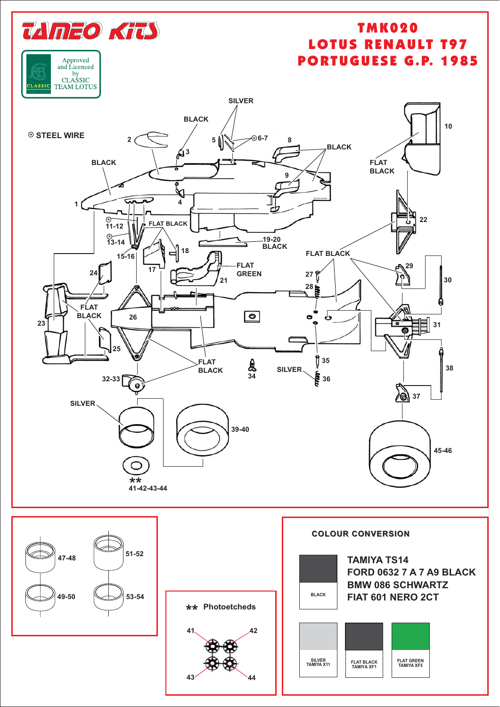